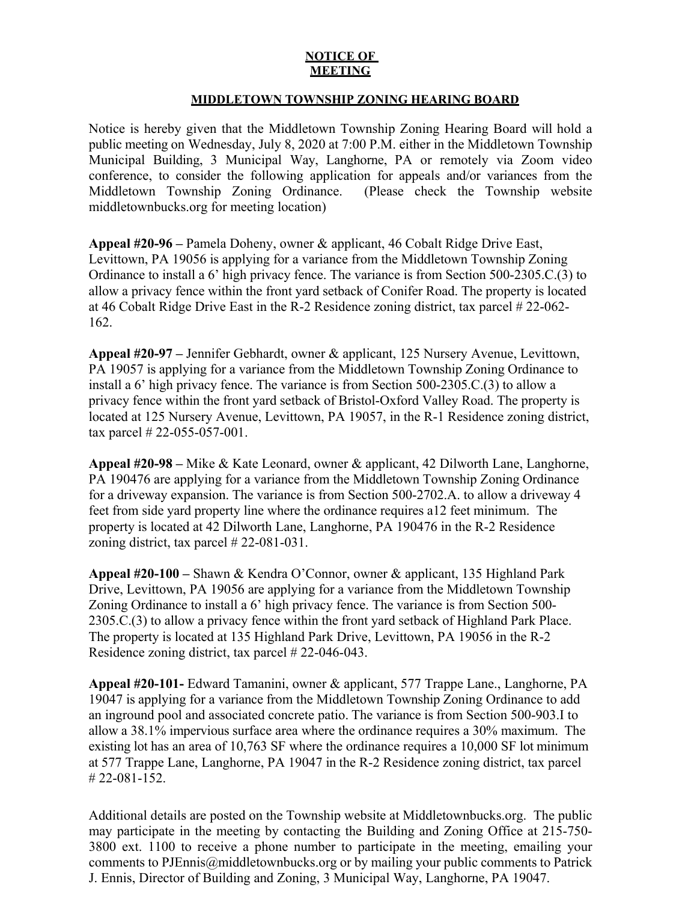## **NOTICE OF MEETING**

## **MIDDLETOWN TOWNSHIP ZONING HEARING BOARD**

Notice is hereby given that the Middletown Township Zoning Hearing Board will hold a public meeting on Wednesday, July 8, 2020 at 7:00 P.M. either in the Middletown Township Municipal Building, 3 Municipal Way, Langhorne, PA or remotely via Zoom video conference, to consider the following application for appeals and/or variances from the Middletown Township Zoning Ordinance. (Please check the Township website middletownbucks.org for meeting location)

**Appeal #20-96 –** Pamela Doheny, owner & applicant, 46 Cobalt Ridge Drive East, Levittown, PA 19056 is applying for a variance from the Middletown Township Zoning Ordinance to install a 6' high privacy fence. The variance is from Section 500-2305.C.(3) to allow a privacy fence within the front yard setback of Conifer Road. The property is located at 46 Cobalt Ridge Drive East in the R-2 Residence zoning district, tax parcel # 22-062- 162.

**Appeal #20-97 –** Jennifer Gebhardt, owner & applicant, 125 Nursery Avenue, Levittown, PA 19057 is applying for a variance from the Middletown Township Zoning Ordinance to install a 6' high privacy fence. The variance is from Section 500-2305.C.(3) to allow a privacy fence within the front yard setback of Bristol-Oxford Valley Road. The property is located at 125 Nursery Avenue, Levittown, PA 19057, in the R-1 Residence zoning district, tax parcel # 22-055-057-001.

**Appeal #20-98 –** Mike & Kate Leonard, owner & applicant, 42 Dilworth Lane, Langhorne, PA 190476 are applying for a variance from the Middletown Township Zoning Ordinance for a driveway expansion. The variance is from Section 500-2702.A. to allow a driveway 4 feet from side yard property line where the ordinance requires a12 feet minimum. The property is located at 42 Dilworth Lane, Langhorne, PA 190476 in the R-2 Residence zoning district, tax parcel # 22-081-031.

**Appeal #20-100 –** Shawn & Kendra O'Connor, owner & applicant, 135 Highland Park Drive, Levittown, PA 19056 are applying for a variance from the Middletown Township Zoning Ordinance to install a 6' high privacy fence. The variance is from Section 500- 2305.C.(3) to allow a privacy fence within the front yard setback of Highland Park Place. The property is located at 135 Highland Park Drive, Levittown, PA 19056 in the R-2 Residence zoning district, tax parcel # 22-046-043.

**Appeal #20-101-** Edward Tamanini, owner & applicant, 577 Trappe Lane., Langhorne, PA 19047 is applying for a variance from the Middletown Township Zoning Ordinance to add an inground pool and associated concrete patio. The variance is from Section 500-903.I to allow a 38.1% impervious surface area where the ordinance requires a 30% maximum. The existing lot has an area of 10,763 SF where the ordinance requires a 10,000 SF lot minimum at 577 Trappe Lane, Langhorne, PA 19047 in the R-2 Residence zoning district, tax parcel # 22-081-152.

Additional details are posted on the Township website at Middletownbucks.org. The public may participate in the meeting by contacting the Building and Zoning Office at 215-750- 3800 ext. 1100 to receive a phone number to participate in the meeting, emailing your comments to PJEnnis@middletownbucks.org or by mailing your public comments to Patrick J. Ennis, Director of Building and Zoning, 3 Municipal Way, Langhorne, PA 19047.